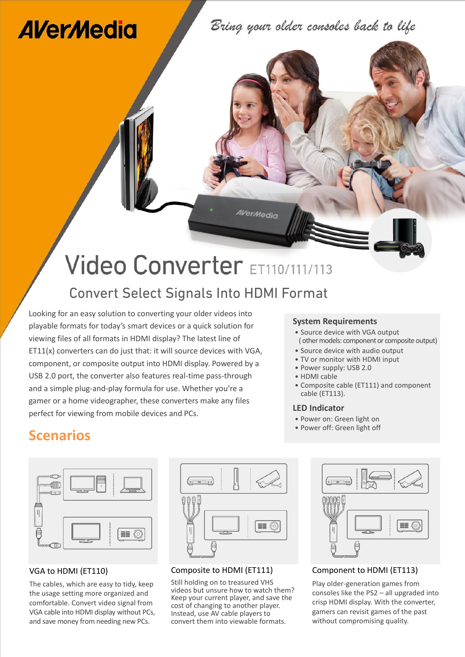# **AVerMedia**

Bring your older consoles back to life

# Video Converter ET110/111/113

AVerMedia

### Convert Select Signals Into HDMI Format

Looking for an easy solution to converting your older videos into playable formats for today's smart devices or a quick solution for viewing files of all formats in HDMI display? The latest line of ET11(x) converters can do just that: it will source devices with VGA, component, or composite output into HDMI display. Powered by a USB 2.0 port, the converter also features real-time pass-through and a simple plug-and-play formula for use. Whether you're a gamer or a home videographer, these converters make any files perfect for viewing from mobile devices and PCs.

#### **System Requirements**

- Source device with VGA output (other models: component or composite output)
- Source device with audio output
- TV or monitor with HDMI input
- ․Power supply: USB 2.0
- HDMI cable
- Composite cable (ET111) and component cable (ET113).

#### **LED Indicator**

- Power on: Green light on<br>• Power off: Green light off
- 

## **Scenarios Called Scenarios Called Scenarios Power off: Green light off Scenarios Called Scenarios Called Scenarios Called Scenarios Called Scenarios Called Scenarios Called Scenarios Called Scenarios**

|     | ᆋ  |
|-----|----|
| WL. | a. |

#### VGA to HDMI (ET110)

The cables, which are easy to tidy, keep the usage setting more organized and comfortable. Convert video signal from VGA cable into HDMI display without PCs, and save money from needing new PCs.



#### Composite to HDMI (ET111)

Still holding on to treasured VHS videos but unsure how to watch them? Keep your current player, and save the cost of changing to another player. Instead, use AV cable players to convert them into viewable formats.



Component to HDMI (ET113)

Play older-generation games from consoles like the PS2 – all upgraded into crisp HDMI display. With the converter, gamers can revisit games of the past without compromising quality.